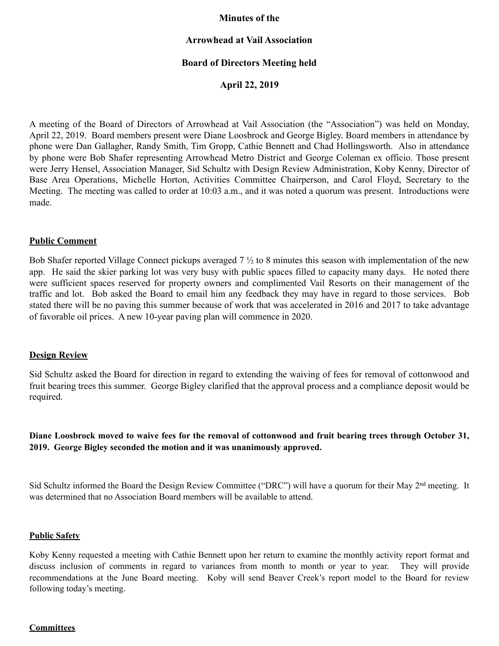### **Minutes of the**

## **Arrowhead at Vail Association**

## **Board of Directors Meeting held**

**April 22, 2019** 

A meeting of the Board of Directors of Arrowhead at Vail Association (the "Association") was held on Monday, April 22, 2019. Board members present were Diane Loosbrock and George Bigley. Board members in attendance by phone were Dan Gallagher, Randy Smith, Tim Gropp, Cathie Bennett and Chad Hollingsworth. Also in attendance by phone were Bob Shafer representing Arrowhead Metro District and George Coleman ex officio. Those present were Jerry Hensel, Association Manager, Sid Schultz with Design Review Administration, Koby Kenny, Director of Base Area Operations, Michelle Horton, Activities Committee Chairperson, and Carol Floyd, Secretary to the Meeting. The meeting was called to order at 10:03 a.m., and it was noted a quorum was present. Introductions were made.

#### **Public Comment**

Bob Shafer reported Village Connect pickups averaged 7 ½ to 8 minutes this season with implementation of the new app. He said the skier parking lot was very busy with public spaces filled to capacity many days. He noted there were sufficient spaces reserved for property owners and complimented Vail Resorts on their management of the traffic and lot. Bob asked the Board to email him any feedback they may have in regard to those services. Bob stated there will be no paving this summer because of work that was accelerated in 2016 and 2017 to take advantage of favorable oil prices. A new 10-year paving plan will commence in 2020.

#### **Design Review**

Sid Schultz asked the Board for direction in regard to extending the waiving of fees for removal of cottonwood and fruit bearing trees this summer. George Bigley clarified that the approval process and a compliance deposit would be required.

**Diane Loosbrock moved to waive fees for the removal of cottonwood and fruit bearing trees through October 31, 2019. George Bigley seconded the motion and it was unanimously approved.** 

Sid Schultz informed the Board the Design Review Committee ("DRC") will have a quorum for their May 2<sup>nd</sup> meeting. It was determined that no Association Board members will be available to attend.

#### **Public Safety**

Koby Kenny requested a meeting with Cathie Bennett upon her return to examine the monthly activity report format and discuss inclusion of comments in regard to variances from month to month or year to year. They will provide recommendations at the June Board meeting. Koby will send Beaver Creek's report model to the Board for review following today's meeting.

# **Committees**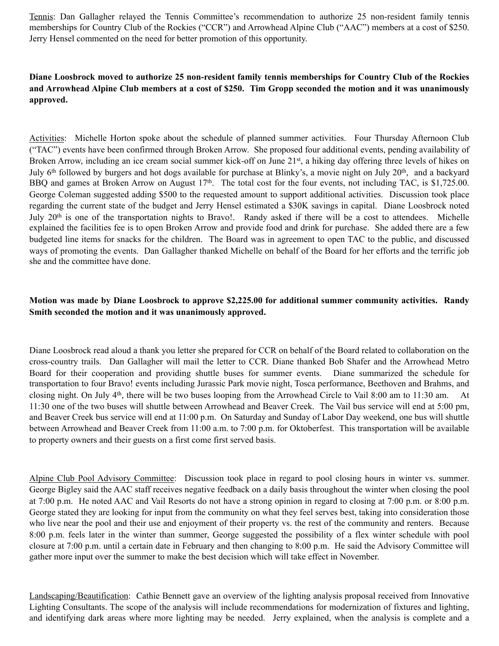Tennis: Dan Gallagher relayed the Tennis Committee's recommendation to authorize 25 non-resident family tennis memberships for Country Club of the Rockies ("CCR") and Arrowhead Alpine Club ("AAC") members at a cost of \$250. Jerry Hensel commented on the need for better promotion of this opportunity.

## **Diane Loosbrock moved to authorize 25 non-resident family tennis memberships for Country Club of the Rockies and Arrowhead Alpine Club members at a cost of \$250. Tim Gropp seconded the motion and it was unanimously approved.**

Activities: Michelle Horton spoke about the schedule of planned summer activities. Four Thursday Afternoon Club ("TAC") events have been confirmed through Broken Arrow. She proposed four additional events, pending availability of Broken Arrow, including an ice cream social summer kick-off on June 21<sup>st</sup>, a hiking day offering three levels of hikes on July  $6<sup>th</sup>$  followed by burgers and hot dogs available for purchase at Blinky's, a movie night on July  $20<sup>th</sup>$ , and a backyard BBQ and games at Broken Arrow on August 17<sup>th</sup>. The total cost for the four events, not including TAC, is \$1,725.00. George Coleman suggested adding \$500 to the requested amount to support additional activities. Discussion took place regarding the current state of the budget and Jerry Hensel estimated a \$30K savings in capital. Diane Loosbrock noted July 20<sup>th</sup> is one of the transportation nights to Bravo!. Randy asked if there will be a cost to attendees. Michelle explained the facilities fee is to open Broken Arrow and provide food and drink for purchase. She added there are a few budgeted line items for snacks for the children. The Board was in agreement to open TAC to the public, and discussed ways of promoting the events. Dan Gallagher thanked Michelle on behalf of the Board for her efforts and the terrific job she and the committee have done.

# **Motion was made by Diane Loosbrock to approve \$2,225.00 for additional summer community activities. Randy Smith seconded the motion and it was unanimously approved.**

Diane Loosbrock read aloud a thank you letter she prepared for CCR on behalf of the Board related to collaboration on the cross-country trails. Dan Gallagher will mail the letter to CCR. Diane thanked Bob Shafer and the Arrowhead Metro Board for their cooperation and providing shuttle buses for summer events. Diane summarized the schedule for transportation to four Bravo! events including Jurassic Park movie night, Tosca performance, Beethoven and Brahms, and closing night. On July 4th, there will be two buses looping from the Arrowhead Circle to Vail 8:00 am to 11:30 am. At 11:30 one of the two buses will shuttle between Arrowhead and Beaver Creek. The Vail bus service will end at 5:00 pm, and Beaver Creek bus service will end at 11:00 p.m. On Saturday and Sunday of Labor Day weekend, one bus will shuttle between Arrowhead and Beaver Creek from 11:00 a.m. to 7:00 p.m. for Oktoberfest. This transportation will be available to property owners and their guests on a first come first served basis.

Alpine Club Pool Advisory Committee: Discussion took place in regard to pool closing hours in winter vs. summer. George Bigley said the AAC staff receives negative feedback on a daily basis throughout the winter when closing the pool at 7:00 p.m. He noted AAC and Vail Resorts do not have a strong opinion in regard to closing at 7:00 p.m. or 8:00 p.m. George stated they are looking for input from the community on what they feel serves best, taking into consideration those who live near the pool and their use and enjoyment of their property vs. the rest of the community and renters. Because 8:00 p.m. feels later in the winter than summer, George suggested the possibility of a flex winter schedule with pool closure at 7:00 p.m. until a certain date in February and then changing to 8:00 p.m. He said the Advisory Committee will gather more input over the summer to make the best decision which will take effect in November.

Landscaping/Beautification: Cathie Bennett gave an overview of the lighting analysis proposal received from Innovative Lighting Consultants. The scope of the analysis will include recommendations for modernization of fixtures and lighting, and identifying dark areas where more lighting may be needed. Jerry explained, when the analysis is complete and a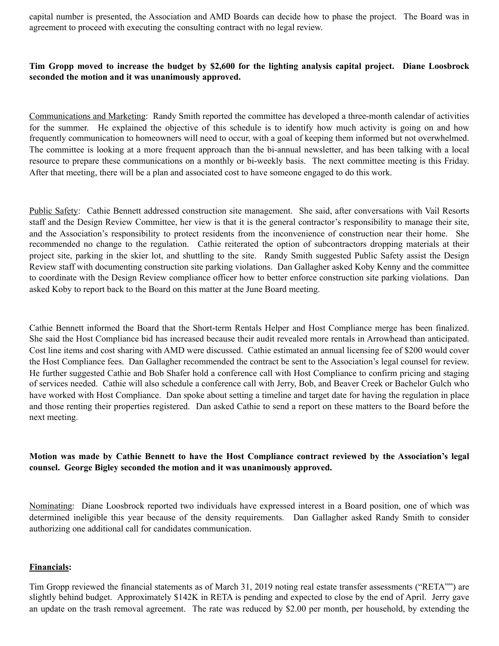capital number is presented, the Association and AMD Boards can decide how to phase the project. The Board was in agreement to proceed with executing the consulting contract with no legal review.

## **Tim Gropp moved to increase the budget by \$2,600 for the lighting analysis capital project. Diane Loosbrock seconded the motion and it was unanimously approved.**

Communications and Marketing: Randy Smith reported the committee has developed a three-month calendar of activities for the summer. He explained the objective of this schedule is to identify how much activity is going on and how frequently communication to homeowners will need to occur, with a goal of keeping them informed but not overwhelmed. The committee is looking at a more frequent approach than the bi-annual newsletter, and has been talking with a local resource to prepare these communications on a monthly or bi-weekly basis. The next committee meeting is this Friday. After that meeting, there will be a plan and associated cost to have someone engaged to do this work.

Public Safety: Cathie Bennett addressed construction site management. She said, after conversations with Vail Resorts staff and the Design Review Committee, her view is that it is the general contractor's responsibility to manage their site, and the Association's responsibility to protect residents from the inconvenience of construction near their home. She recommended no change to the regulation. Cathie reiterated the option of subcontractors dropping materials at their project site, parking in the skier lot, and shuttling to the site. Randy Smith suggested Public Safety assist the Design Review staff with documenting construction site parking violations. Dan Gallagher asked Koby Kenny and the committee to coordinate with the Design Review compliance officer how to better enforce construction site parking violations. Dan asked Koby to report back to the Board on this matter at the June Board meeting.

Cathie Bennett informed the Board that the Short-term Rentals Helper and Host Compliance merge has been finalized. She said the Host Compliance bid has increased because their audit revealed more rentals in Arrowhead than anticipated. Cost line items and cost sharing with AMD were discussed. Cathie estimated an annual licensing fee of \$200 would cover the Host Compliance fees. Dan Gallagher recommended the contract be sent to the Association's legal counsel for review. He further suggested Cathie and Bob Shafer hold a conference call with Host Compliance to confirm pricing and staging of services needed. Cathie will also schedule a conference call with Jerry, Bob, and Beaver Creek or Bachelor Gulch who have worked with Host Compliance. Dan spoke about setting a timeline and target date for having the regulation in place and those renting their properties registered. Dan asked Cathie to send a report on these matters to the Board before the next meeting.

**Motion was made by Cathie Bennett to have the Host Compliance contract reviewed by the Association's legal counsel. George Bigley seconded the motion and it was unanimously approved.** 

Nominating: Diane Loosbrock reported two individuals have expressed interest in a Board position, one of which was determined ineligible this year because of the density requirements. Dan Gallagher asked Randy Smith to consider authorizing one additional call for candidates communication.

#### **Financials:**

Tim Gropp reviewed the financial statements as of March 31, 2019 noting real estate transfer assessments ("RETA"") are slightly behind budget. Approximately \$142K in RETA is pending and expected to close by the end of April. Jerry gave an update on the trash removal agreement. The rate was reduced by \$2.00 per month, per household, by extending the